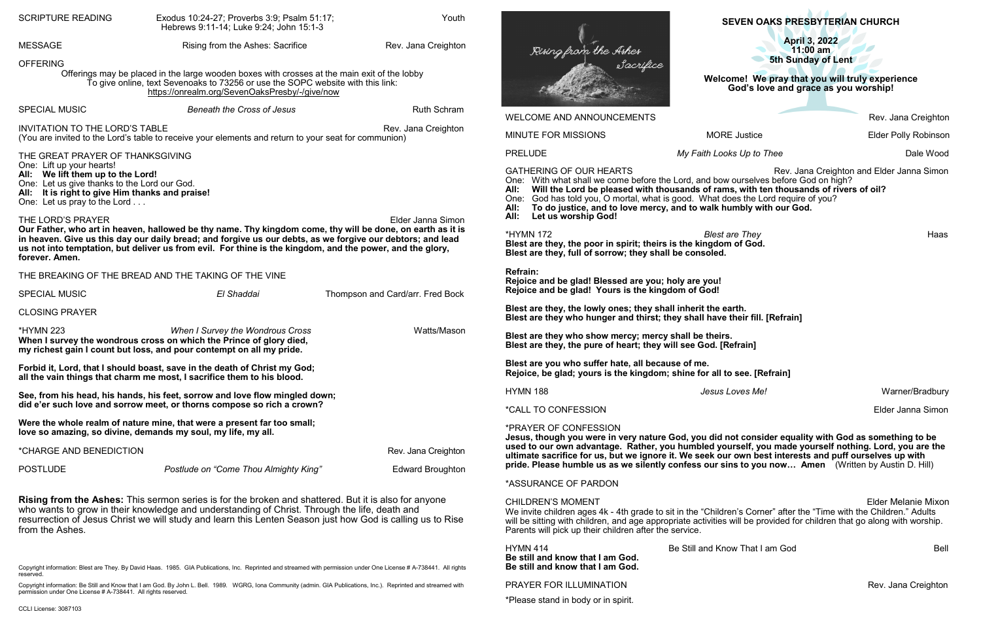PRAYER FOR ILLUMINATION **Rev. Jana Creighton** 

\*Please stand in body or in spirit.

| <b>SCRIPTURE READING</b>                                                                                                                                                                                                                                                                                                                                                                                                                                                                                                                                                                               | Youth<br>Exodus 10:24-27; Proverbs 3:9; Psalm 51:17;<br>Hebrews 9:11-14; Luke 9:24; John 15:1-3                                                                    |                                                                                                                                                                                                                 |                                                                                                                                                                                                                                                                                                                                                                                                                                                               | <b>SEVEN OAKS PRESBYTERIAN CHURCH</b>                                                                         |                             |
|--------------------------------------------------------------------------------------------------------------------------------------------------------------------------------------------------------------------------------------------------------------------------------------------------------------------------------------------------------------------------------------------------------------------------------------------------------------------------------------------------------------------------------------------------------------------------------------------------------|--------------------------------------------------------------------------------------------------------------------------------------------------------------------|-----------------------------------------------------------------------------------------------------------------------------------------------------------------------------------------------------------------|---------------------------------------------------------------------------------------------------------------------------------------------------------------------------------------------------------------------------------------------------------------------------------------------------------------------------------------------------------------------------------------------------------------------------------------------------------------|---------------------------------------------------------------------------------------------------------------|-----------------------------|
| <b>MESSAGE</b>                                                                                                                                                                                                                                                                                                                                                                                                                                                                                                                                                                                         | Rising from the Ashes: Sacrifice                                                                                                                                   | Rev. Jana Creighton                                                                                                                                                                                             | <b>April 3, 2022</b><br>Rising from the Ashes<br>11:00 am                                                                                                                                                                                                                                                                                                                                                                                                     |                                                                                                               |                             |
| <b>OFFERING</b><br>Offerings may be placed in the large wooden boxes with crosses at the main exit of the lobby<br>To give online, text Sevenoaks to 73256 or use the SOPC website with this link:<br>https://onrealm.org/SevenOaksPresby/-/give/now                                                                                                                                                                                                                                                                                                                                                   |                                                                                                                                                                    |                                                                                                                                                                                                                 |                                                                                                                                                                                                                                                                                                                                                                                                                                                               | 5th Sunday of Lent<br>Welcome! We pray that you will truly experience<br>God's love and grace as you worship! |                             |
| <b>SPECIAL MUSIC</b>                                                                                                                                                                                                                                                                                                                                                                                                                                                                                                                                                                                   | <b>Beneath the Cross of Jesus</b>                                                                                                                                  | <b>Ruth Schram</b>                                                                                                                                                                                              | WELCOME AND ANNOUNCEMENTS                                                                                                                                                                                                                                                                                                                                                                                                                                     |                                                                                                               | Rev. Jana Creightor         |
| <b>INVITATION TO THE LORD'S TABLE</b>                                                                                                                                                                                                                                                                                                                                                                                                                                                                                                                                                                  | (You are invited to the Lord's table to receive your elements and return to your seat for communion)                                                               | Rev. Jana Creighton                                                                                                                                                                                             | MINUTE FOR MISSIONS                                                                                                                                                                                                                                                                                                                                                                                                                                           | <b>MORE Justice</b>                                                                                           | <b>Elder Polly Robinsor</b> |
| THE GREAT PRAYER OF THANKSGIVING                                                                                                                                                                                                                                                                                                                                                                                                                                                                                                                                                                       |                                                                                                                                                                    |                                                                                                                                                                                                                 | <b>PRELUDE</b>                                                                                                                                                                                                                                                                                                                                                                                                                                                | My Faith Looks Up to Thee                                                                                     | Dale Wood                   |
| One: Lift up your hearts!<br>All: We lift them up to the Lord!<br>One: Let us give thanks to the Lord our God.<br>All: It is right to give Him thanks and praise!<br>One: Let us pray to the Lord<br>THE LORD'S PRAYER<br>Elder Janna Simon<br>Our Father, who art in heaven, hallowed be thy name. Thy kingdom come, thy will be done, on earth as it is<br>in heaven. Give us this day our daily bread; and forgive us our debts, as we forgive our debtors; and lead<br>us not into temptation, but deliver us from evil. For thine is the kingdom, and the power, and the glory,<br>forever. Amen. |                                                                                                                                                                    |                                                                                                                                                                                                                 | <b>GATHERING OF OUR HEARTS</b><br>Rev. Jana Creighton and Elder Janna Simon<br>One: With what shall we come before the Lord, and bow ourselves before God on high?<br>Will the Lord be pleased with thousands of rams, with ten thousands of rivers of oil?<br>One: God has told you, O mortal, what is good. What does the Lord require of you?<br>All:<br>To do justice, and to love mercy, and to walk humbly with our God.<br>Let us worship God!<br>All: |                                                                                                               |                             |
|                                                                                                                                                                                                                                                                                                                                                                                                                                                                                                                                                                                                        |                                                                                                                                                                    |                                                                                                                                                                                                                 | <b>*HYMN 172</b><br><b>Blest are They</b><br>Haas<br>Blest are they, the poor in spirit; theirs is the kingdom of God.<br>Blest are they, full of sorrow; they shall be consoled.                                                                                                                                                                                                                                                                             |                                                                                                               |                             |
| THE BREAKING OF THE BREAD AND THE TAKING OF THE VINE                                                                                                                                                                                                                                                                                                                                                                                                                                                                                                                                                   |                                                                                                                                                                    |                                                                                                                                                                                                                 | <b>Refrain:</b><br>Rejoice and be glad! Blessed are you; holy are you!                                                                                                                                                                                                                                                                                                                                                                                        |                                                                                                               |                             |
| <b>SPECIAL MUSIC</b>                                                                                                                                                                                                                                                                                                                                                                                                                                                                                                                                                                                   | El Shaddai                                                                                                                                                         | Thompson and Card/arr. Fred Bock                                                                                                                                                                                | Rejoice and be glad! Yours is the kingdom of God!                                                                                                                                                                                                                                                                                                                                                                                                             |                                                                                                               |                             |
| <b>CLOSING PRAYER</b>                                                                                                                                                                                                                                                                                                                                                                                                                                                                                                                                                                                  |                                                                                                                                                                    |                                                                                                                                                                                                                 | Blest are they, the lowly ones; they shall inherit the earth.<br>Blest are they who hunger and thirst; they shall have their fill. [Refrain]                                                                                                                                                                                                                                                                                                                  |                                                                                                               |                             |
| <b>*HYMN 223</b><br>When I Survey the Wondrous Cross<br>Watts/Mason<br>When I survey the wondrous cross on which the Prince of glory died,<br>my richest gain I count but loss, and pour contempt on all my pride.<br>Forbid it, Lord, that I should boast, save in the death of Christ my God;<br>all the vain things that charm me most, I sacrifice them to his blood.                                                                                                                                                                                                                              |                                                                                                                                                                    |                                                                                                                                                                                                                 | Blest are they who show mercy; mercy shall be theirs.<br>Blest are they, the pure of heart; they will see God. [Refrain]<br>Blest are you who suffer hate, all because of me.<br>Rejoice, be glad; yours is the kingdom; shine for all to see. [Refrain]                                                                                                                                                                                                      |                                                                                                               |                             |
|                                                                                                                                                                                                                                                                                                                                                                                                                                                                                                                                                                                                        |                                                                                                                                                                    |                                                                                                                                                                                                                 |                                                                                                                                                                                                                                                                                                                                                                                                                                                               |                                                                                                               |                             |
| *CALL TO CONFESSION                                                                                                                                                                                                                                                                                                                                                                                                                                                                                                                                                                                    |                                                                                                                                                                    | Elder Janna Simon                                                                                                                                                                                               |                                                                                                                                                                                                                                                                                                                                                                                                                                                               |                                                                                                               |                             |
|                                                                                                                                                                                                                                                                                                                                                                                                                                                                                                                                                                                                        | Were the whole realm of nature mine, that were a present far too small;<br>love so amazing, so divine, demands my soul, my life, my all.                           |                                                                                                                                                                                                                 | *PRAYER OF CONFESSION                                                                                                                                                                                                                                                                                                                                                                                                                                         | Jesus, though you were in very nature God, you did not consider equality with God as something to be          |                             |
| *CHARGE AND BENEDICTION<br>Rev. Jana Creighton                                                                                                                                                                                                                                                                                                                                                                                                                                                                                                                                                         |                                                                                                                                                                    | used to our own advantage. Rather, you humbled yourself, you made yourself nothing. Lord, you are the<br>ultimate sacrifice for us, but we ignore it. We seek our own best interests and puff ourselves up with |                                                                                                                                                                                                                                                                                                                                                                                                                                                               |                                                                                                               |                             |
| <b>POSTLUDE</b>                                                                                                                                                                                                                                                                                                                                                                                                                                                                                                                                                                                        | <b>Postlude on "Come Thou Almighty King"</b>                                                                                                                       | <b>Edward Broughton</b>                                                                                                                                                                                         |                                                                                                                                                                                                                                                                                                                                                                                                                                                               | pride. Please humble us as we silently confess our sins to you now Amen (Written by Austin D. Hill)           |                             |
|                                                                                                                                                                                                                                                                                                                                                                                                                                                                                                                                                                                                        |                                                                                                                                                                    |                                                                                                                                                                                                                 | *ASSURANCE OF PARDON                                                                                                                                                                                                                                                                                                                                                                                                                                          |                                                                                                               |                             |
| <b>Rising from the Ashes:</b> This sermon series is for the broken and shattered. But it is also for anyone<br>who wants to grow in their knowledge and understanding of Christ. Through the life, death and<br>resurrection of Jesus Christ we will study and learn this Lenten Season just how God is calling us to Rise<br>from the Ashes.                                                                                                                                                                                                                                                          |                                                                                                                                                                    |                                                                                                                                                                                                                 | <b>CHILDREN'S MOMENT</b><br><b>Elder Melanie Mixor</b><br>We invite children ages 4k - 4th grade to sit in the "Children's Corner" after the "Time with the Children." Adults<br>will be sitting with children, and age appropriate activities will be provided for children that go along with worship.<br>Parents will pick up their children after the service.                                                                                            |                                                                                                               |                             |
| reserved.                                                                                                                                                                                                                                                                                                                                                                                                                                                                                                                                                                                              | Copyright information: Blest are They. By David Haas. 1985. GIA Publications, Inc. Reprinted and streamed with permission under One License # A-738441. All rights |                                                                                                                                                                                                                 | <b>HYMN 414</b><br>Be still and know that I am God.<br>Be still and know that I am God.                                                                                                                                                                                                                                                                                                                                                                       | Be Still and Know That I am God                                                                               | Bell                        |

Copyright information: Be Still and Know that I am God. By John L. Bell. 1989. WGRG, Iona Community (admin. GIA Publications, Inc.). Reprinted and streamed with permission under One License # A-738441. All rights reserved.